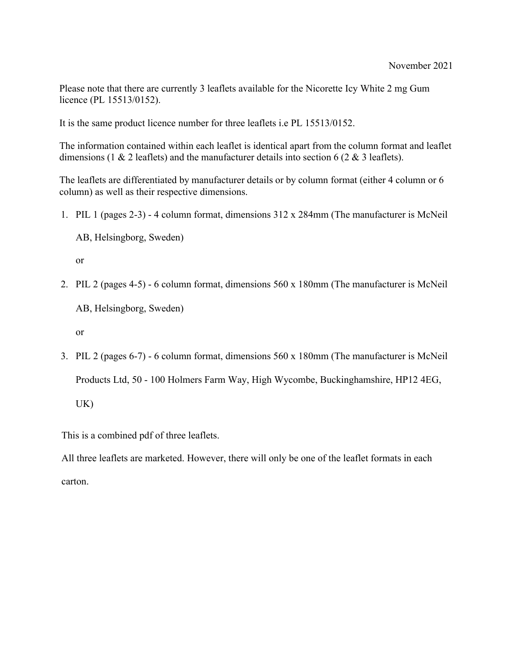Please note that there are currently 3 leaflets available for the Nicorette Icy White 2 mg Gum licence (PL 15513/0152).

It is the same product licence number for three leaflets i.e PL 15513/0152.

The information contained within each leaflet is identical apart from the column format and leaflet dimensions (1 & 2 leaflets) and the manufacturer details into section 6 (2 & 3 leaflets).

The leaflets are differentiated by manufacturer details or by column format (either 4 column or 6 column) as well as their respective dimensions.

1. PIL 1 (pages 2-3) - 4 column format, dimensions 312 x 284mm (The manufacturer is McNeil

AB, Helsingborg, Sweden)

or

2. PIL 2 (pages 4-5) - 6 column format, dimensions 560 x 180mm (The manufacturer is McNeil

AB, Helsingborg, Sweden)

or

3. PIL 2 (pages 6-7) - 6 column format, dimensions 560 x 180mm (The manufacturer is McNeil Products Ltd, 50 - 100 Holmers Farm Way, High Wycombe, Buckinghamshire, HP12 4EG, UK)

This is a combined pdf of three leaflets.

All three leaflets are marketed. However, there will only be one of the leaflet formats in each carton.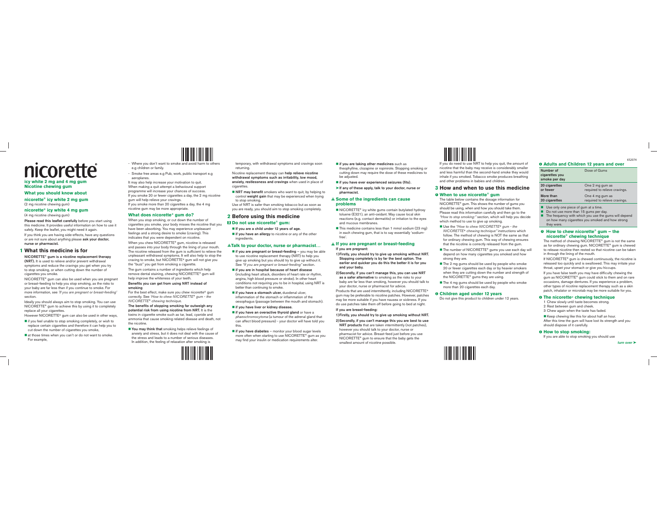

**nicorette® icy white 4 mg gum**

(4 mg nicotine chewing gum)

Please read this leaflet carefully before you start using this medicine. It provides useful information on how to use it safely. Keep the leaflet, you might need it again. If you think you are having side-effects, have any questions or are not sure about anything please ask your doctor, nurse or pharmacist.

### **1 What this medicine is for**

NICORETTE® gum is a nicotine replacement therapy

(NRT). It is used to relieve and/or prevent withdrawal symptoms and reduce the cravings you get when you try to stop smoking, or when cutting down the number of cigarettes you smoke.

NICORETTE® gum can also be used when you are pregnant or breast-feeding to help you stop smoking, as the risks to your baby are far less than if you continue to smoke. For more information, see 'If you are pregnant or breast-feeding' section.

Ideally you should always aim to stop smoking. You can use NICORETTE® gum to achieve this by using it to completely replace all your cigarettes.

However NICORETTE® gum can also be used in other ways,

- if you feel unable to stop smoking completely, or wish to replace certain cigarettes and therefore it can help you to cut down the number of cigarettes you smoke,
- at those times when you can't or do not want to smoke. For example,

<u> 11 Martin - Antonin III</u> - Where you don't want to smoke and avoid harm to others e.g children or family.

- Smoke free areas e.g Pub, work, public transport e.g aeroplanes.

It may also help increase your motivation to quit. When making a quit attempt a behavioural support programme will increase your chances of success. If you smoke 20 or fewer cigarettes a day, the 2 mg nicotine gum will help relieve your cravings. If you smoke more than 20 cigarettes a day, the 4 mg nicotine gum may be more appropriate.

### **What does nicorette**® **gum do?**

When you stop smoking, or cut down the number of cigarettes you smoke, your body misses the nicotine that you have been absorbing. You may experience unpleasant feelings and a strong desire to smoke (craving). This indicates that you were dependent on nicotine.

When you chew NICORETTE® gum, nicotine is released and passes into your body through the lining of your mouth. The nicotine released from the gum is sufficient to relieve the unpleasant withdrawal symptoms. It will also help to stop the craving to smoke, but NICORETTE<sup>®</sup> gum will not give you the "buzz'' you get from smoking a cigarette.

The gum contains a number of ingredients which help remove dental staining, chewing NICORETTE® gum will help improve the whiteness of your teeth.

#### Benefits you can get from using NRT instead of smoking

For the best effect, make sure you chew nicorette® gum correctly. See 'How to chew NICORETTE® gum - the NICORETTE® chewing technique.

The benefits of stopping smoking far outweigh any potential risk from using nicotine from NRT. It is the toxins in cigarette smoke such as tar, lead, cyanide and ammonia that cause smoking related disease and death, not the nicotine.

You may think that smoking helps relieve feelings of anxiety and stress, but it does not deal with the cause of the stress and leads to a number of serious diseases. In addition, the feeling of relaxation after smoking is

temporary, with withdrawal symptoms and cravings soon returning.

Nicotine replacement therapy can help relieve nicotine withdrawal symptoms such as irritability, low mood, anxiety, restlessness and cravings when used in place of cigarettes

**NRT may benefit** smokers who want to quit, by helping to control weight gain that may be experienced when trying to stop smoking.

Use of NRT is safer than smoking tobacco but as soon as you are ready, you should aim to stop smoking completely.

#### **2 Before using this medicine** <sup>X</sup> **Do not use nicorette**® **gum:**

If you are a child under 12 years of age.

**if you have an allergy** to nicotine or any of the other ingredients.

#### ! **Talk to your doctor, nurse or pharmacist…**

- $\blacksquare$  if you are pregnant or breast-feeding  $-$  you may be able to use nicotine replacement therapy (NRT) to help you give up smoking but you should try to give up without it. See "If you are pregnant or breast-feeding" section.
- $\blacksquare$  if you are in hospital because of heart disease (including heart attack, disorders of heart rate or rhythm, angina, high blood pressure or stroke). In other heart conditions not requiring you to be in hospital, using NRT is better than continuing to smoke.
- if you have a stomach ulcer, duodenal ulcer, inflammation of the stomach or inflammation of the oesophagus (passage between the mouth and stomach).
- if you have liver or kidney disease.
- $\blacksquare$  if you have an overactive thyroid gland or have a <sup>p</sup>haeochromocytoma (a tumour of the adrenal gland that can affect blood pressure) - your doctor will have told you this.
- $\blacksquare$  if you have diabetes monitor your blood sugar levels more often when starting to use NICORETTE® gum as you may find your insulin or medication requirements alter.

#### $\blacksquare$  if you are taking other medicines such as

theophylline, clozapine or ropinirole. Stopping smoking or cutting down may require the dose of these medicines to be adjusted.

if you have ever experienced seizures (fits). ➤If any of these apply, talk to your doctor, nurse or pharmacist.

#### ! **Some of the ingredients can cause problems**

- NICORETTE® icy white gums contain butylated hydroxy toluene (E321), an anti-oxidant. May cause local skin reactions (e.g. contact dermatitis) or irritation to the eyes and mucous membranes.
- This medicine contains less than 1 mmol sodium (23 mg) in each chewing gum, that is to say essentially 'sodiumfree'.

! **If you are pregnant or breast-feeding** If you are pregnant:

- 1) Firstly, you should try to give up smoking without NRT. Stopping completely is by far the best option. The earlier and quicker you do this the better it is for you and your baby.
- 2) Secondly, if you can't manage this, you can use NRT **as a safer alternative** to smoking as the risks to your baby are far less than smoking, however you should talk to your doctor, nurse or pharmacist for advice.

Products that are used intermittently, including NICORETTE® gum may be preferable to nicotine patches. However, patches may be more suitable if you have nausea or sickness. If you do use patches take them off before going to bed at night. If you are breast-feeding:

1) Firstly, you should try to give up smoking without NRT.

#### 2) Secondly, if you can't manage this you are best to use

NRT products that are taken intermittently (not patches), however you should talk to your doctor, nurse or pharmacist for advice. Breast-feed just before you use NICORETTE® gum to ensure that the baby gets the smallest amount of nicotine possible.

# <u>HIII HIII HIII HII</u>

If you do need to use NRT to help you quit, the amount of nicotine that the baby may receive is considerably smaller and less harmful than the second-hand smoke they would inhale if you smoked. Tobacco smoke produces breathing and other problems in babies and children.

# **3 How and when to use this medicine**

### <sup>i</sup> **When to use nicorette**® **gum**

The table below contains the dosage information for NICORETTE® gum. This shows the number of gums you should be using, when and how you should take them. Please read this information carefully and then go to the "How to stop smoking:" section, which will help you decide which method to use to give up smoking.

- Use the "How to chew NICORETTE® gum the NICORETTE® chewing technique" instructions which follow. The method of chewing is NOT the same as that for ordinary chewing gum. This way of chewing ensures that the nicotine is correctly released from the gum.
- The number of NICORETTE<sup>®</sup> gums you use each day will depend on how many cigarettes you smoked and how strong they are.
- The 2 mg gums should be used by people who smoke 20 or fewer cigarettes each day or by heavier smokers when they are cutting down the number and strength of the NICORETTE<sup>®</sup> gums they are using.
- The 4 mg gums should be used by people who smoke more than 20 cigarettes each day.

#### $0$  **Children aged under 12 years**

Do not give this product to children under 12 years.

### $0$  **Adults and Children 12 years and over**

| Number of<br>cigarettes you<br>smoke per day | Dose of Gums                  |
|----------------------------------------------|-------------------------------|
| 20 cigarettes                                | One 2 mg gum as               |
| or fewer                                     | required to relieve cravings. |
| More than                                    | One 4 mg gum as               |
| 20 cigarettes                                | required to relieve cravings. |

Use only one piece of gum at a time.

- Do not use more than 15 gums per day.
- The frequency with which you use the gums will depend on how many cigarettes you smoked and how strong they were.

#### <sup>i</sup> **How to chew nicorette**® **gum – the nicorette**® **chewing technique**

The method of chewing NICORETTE<sup>®</sup> gum is not the same as for ordinary chewing gum. NICORETTE<sup>®</sup> gum is chewed to release nicotine then rested so that nicotine can be taken in through the lining of the mouth.

If NICORETTE® gum is chewed continuously, the nicotine is released too quickly and is swallowed. This may irritate your throat, upset your stomach or give you hiccups.

If you have false teeth you may have difficulty chewing the gum as NICORETTE® gum could stick to them and on rare occasions, damage dentures. If you experience a problem, other types of nicotine replacement therapy such as a skin patch, inhalator or microtab may be more suitable for you.

#### $\theta$  The nicorette<sup>®</sup> chewing technique

1 Chew slowly until taste becomes strong. 2 Rest between gum and cheek. 3 Chew again when the taste has faded.

Keep chewing like this for about half an hour. After this time the gum will have lost its strength and you should dispose of it carefully.

### $\theta$  **How to stop smoking:**

If you are able to stop smoking you should use

652074

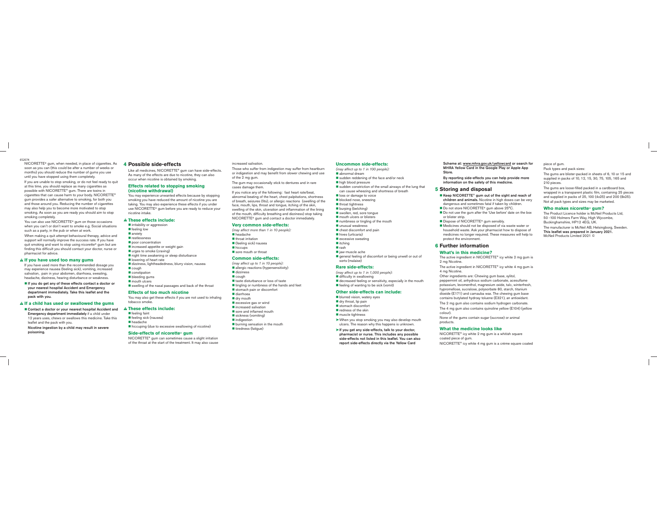NICORETTE® gum, when needed, in place of cigarettes. As soon as you can (this could be after a number of weeks or months) you should reduce the number of gums you use until you have stopped using them completely. If you are unable to stop smoking, or do not feel ready to quit at this time, you should replace as many cigarettes as possible with NICORETTE® gum. There are toxins in cigarettes that can cause harm to your body. NICORETTE® gum provides a safer alternative to smoking, for both you and those around you. Reducing the number of cigarettes may also help you to become more motivated to stop smoking. As soon as you are ready you should aim to stop smoking completely.

You can also use NICORETTE<sup>®</sup> gum on those occasions when you can't or don't want to smoke e.g. Social situations such as a party, in the pub or when at work.

When making a quit attempt behavioural therapy, advice and support will normally improve the success rate. If you have quit smoking and want to stop using nicorette® gum but are finding this difficult you should contact your doctor, nurse or pharmacist for advice.

#### ! **If you have used too many gums**

If you have used more than the recommended dosage you may experience nausea (feeling sick), vomiting, increased salivation, pain in your abdomen, diarrhoea, sweating, headache, dizziness, hearing disturbance or weakness.

If you do get any of these effects contact a doctor or your nearest hospital Accident and Emergency department immediately. Take this leaflet and the pack with you.

#### ! **If a child has used or swallowed the gums**

■ Contact a doctor or your nearest hospital Accident and Emergency department immediately if a child under 12 years uses, chews or swallows this medicine. Take this leaflet and the pack with you.

Nicotine ingestion by a child may result in severe poisoning.

#### **4 Possible side-effects**

Like all medicines, NICORETTE® gum can have side-effects. As many of the effects are due to nicotine, they can also occur when nicotine is obtained by smoking.

#### **Effects related to stopping smoking (nicotine withdrawal)**

You may experience unwanted effects because by stopping smoking you have reduced the amount of nicotine you are taking. You may also experience these effects if you under use NICORETTE® gum before you are ready to reduce your nicotine intake.

#### ! **These effects include:**

**i** irritability or aggression **feeling low B** anxiety **E**restlessness poor concentration **E** increased appetite or weight gain urges to smoke (craving) night time awakening or sleep disturbance **Dowering of heart rate** dizziness, lightheadedness, blurry vision, nausea cough **Constination bleeding gums** mouth ulcers swelling of the nasal passages and back of the throat **Effects of too much nicotine**

You may also get these effects if you are not used to inhaling tobacco smoke.

#### ! **These effects include:**

feeling faint feeling sick (nausea) headache hiccuping (due to excessive swallowing of nicotine)

#### **Side-effects of nicorette**® **gum**

NICORETTE® gum can sometimes cause a slight irritation of the throat at the start of the treatment. It may also cause

#### increased salivation.

Those who suffer from indigestion may suffer from heartburn or indigestion and may benefit from slower chewing and use of the  $2 \text{ ma}$  gum.

The gum may occasionally stick to dentures and in rare cases damage them.

If you notice any of the following: fast heart rate/beat, abnormal beating of the heart, chest palpitations, shortness of breath, seizures (fits), or allergic reactions (swelling of the face, mouth, lips, throat and tongue, itching of the skin. swelling of the skin, ulceration and inflammation of the lining of the mouth, difficulty breathing and dizziness) stop taking NICORETTE® gum and contact a doctor immediately.

#### **Very common side-effects:**

(may affect more than 1 in 10 people): headache**I**throat irritation (feeling sick) nausea hiccups sore mouth or throat

#### **Common side-effects:**

(may affect up to 1 in 10 people): allergic reactions (hypersensitivity) dizziness ■ cough taste disturbance or loss of taste  $t$  ingling or numbness of the hands and feet stomach pain or discomfort diarrhoea dry mouth excessive gas or wind *u* increased salivation sore and inflamed mouth sickness (vomiting) ■ indigestion burning sensation in the mouth tiredness (fatigue)

#### **Uncommon side-effects:**

(may affect up to 1 in 100 people): abnormal dream

sudden reddening of the face and/or neck high blood pressure

sudden constriction of the small airways of the lung that can cause wheezing and shortness of breath

loss or damage to voice blocked nose, sneezing

**I**throat tightness

**Burping (belching)** 

swollen, red, sore tongue mouth ulcers or blisters

numbness or tingling of the mouth

unusual weakness

chest discomfort and pain hives (urticaria)

excessive sweating

litching

 rashlaw-muscle ache general feeling of discomfort or being unwell or out of sorts (malaise)

#### **Rare side-effects:**

(may affect up to 1 in 1,000 people): difficulty in swallowing decreased feeling or sensitivity, especially in the mouth **f**eeling of wanting to be sick (vomit)

### **Other side-effects can include:**

blurred vision, watery eyes dry throat, lip pain stomach discomfor redness of the skin muscle tightness

➤ When you stop smoking you may also develop mouth ulcers. The reason why this happens is unknown.

➤If you get any side-effects, talk to your doctor, pharmacist or nurse. This includes any possible side-effects not listed in this leaflet. You can also report side-effects directly via the Yellow Card

Scheme at: www.mhra.gov.uk/yellowcard or search for MHRA Yellow Card in the Google Play or Apple App Store.

 By reporting side-effects you can help provide more information on the safety of this medicine.

#### **5 Storing and disposal**

Keep NICORETTE<sup>®</sup> gum out of the sight and reach of children and animals. Nicotine in high doses can be very dangerous and sometimes fatal if taken by children.

Do not store NICORETTE<sup>®</sup> gum above 25°C.

Do not use the gum after the 'Use before' date on the box or blister strip.

- Dispose of NICORETTE® gum sensibly.
- Medicines should not be disposed of via waste water or household waste. Ask your pharmacist how to dispose of medicines no longer required. These measures will help to protect the environment.

### **6 Further information**

#### **What's in this medicine?**

The active ingredient in NICORETTE® icy white 2 mg gum is 2 mg Nicotine.

The active ingredient in NICORETTE® icy white 4 mg gum is 4 mg Nicotine.

Other ingredients are: Chewing gum base, xylitol, peppermint oil, anhydrous sodium carbonate, acesulfame potassium, levomenthol, magnesium oxide, talc, winterfresh, hypromellose, sucralose, polysorbate 80, starch, titanium dioxide (E171) and carnauba wax. The chewing gum base contains butylated hydroxy toluene (E321), an antioxidant.

The 2 mg gum also contains sodium hydrogen carbonate. The 4 mg gum also contains quinoline yellow (E104) (yellow colour).

None of the gums contain sugar (sucrose) or animal products.

#### **What the medicine looks like**

NICORETTE<sup>®</sup> icy white 2 mg gum is a whitish square coated piece of gum. NICORETTE® icy white 4 mg gum is a crème square coated piece of gum.

Pack types and pack sizes:

The gums are blister-packed in sheets of 6, 10 or 15 and supplied in packs of 10, 12, 15, 30, 75, 105, 165 and 210 pieces.

The gums are loose-filled packed in a cardboard box, wrapped in a transparent plastic film, containing 25 pieces and supplied in packs of 25, 100 (4x25) and 200 (8x25). Not all pack types and sizes may be marketed.

#### **Who makes nicorette**® **gum?**

The Product Licence holder is McNeil Products Ltd, 50 -100 Holmers Farm Way, High Wycombe, Buckinghamshire, HP12 4EG, UK. The manufacturer is McNeil AB, Helsingborg, Sweden. This leaflet was prepared in January 2021. McNeil Products Limited 2021 ©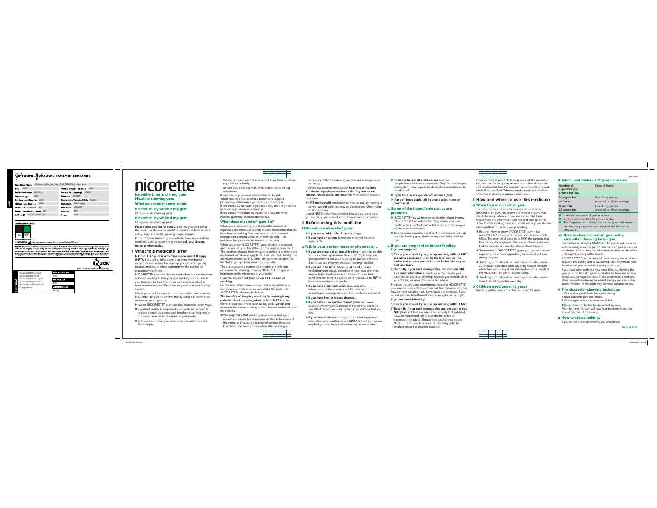

**icy white 2 mg and 4 mg gum Nicotine chewing gumWhat you should know about**

#### **nicorette® icy white 2 mg gum**

(2 mg nicotine chewing gum)

### **nicorette® icy white 4 mg gum**

(4 mg nicotine chewing gum)

Please read this leaflet carefully before you start using this medicine. It provides useful information on how to use it safely. Keep the leaflet, you might need it again. If you think you are having side-effects, have any questions or are not sure about anything please ask your doctor, nurse or pharmacist.

#### **1 What this medicine is for**

NICORETTE® gum is a nicotine replacement therapy (NRT). It is used to relieve and/or prevent withdrawal symptoms and reduce the cravings you get when you try to stop smoking, or when cutting down the number of cigarettes you smoke.

NICORETTE® gum can also be used when you are pregnant or breast-feeding to help you stop smoking, as the risks to your baby are far less than if you continue to smoke. For more information, see 'If you are pregnant or breast-feeding' section.

Ideally you should always aim to stop smoking. You can use NICORETTE® gum to achieve this by using it to completely replace all your cigarettes.

However NICORETTE<sup>®</sup> gum can also be used in other ways,

- $\blacksquare$  if you feel unable to stop smoking completely, or wish to replace certain cigarettes and therefore it can help you to cut down the number of cigarettes you smoke
- at those times when you can't or do not want to smoke. For example,

**HERETHER** - Where you don't want to smoke and avoid harm to others e.g children or family.

,,,,,,,,,,,,

- Smoke free areas e.g Pub, work, public transport e.g aeroplanes.

It may also help increase your motivation to quit. When making a quit attempt a behavioural support programme will increase your chances of success. If you smoke 20 or fewer cigarettes a day, the 2 mg nicotine gum will help relieve your cravings. If you smoke more than 20 cigarettes a day, the 4 mg nicotine gum may be more appropriate.

#### **What does nicorette**® **gum do?**

When you stop smoking, or cut down the number of cigarettes you smoke, your body misses the nicotine that you have been absorbing. You may experience unpleasant feelings and a strong desire to smoke (craving). This indicates that you were dependent on nicotine.

When you chew NICORETTE<sup>®</sup> gum, nicotine is released and passes into your body through the lining of your mouth. The nicotine released from the gum is sufficient to relieve the unpleasant withdrawal symptoms. It will also help to stop the craving to smoke, but NICORETTE® gum will not give you the "buzz'' you get from smoking a cigarette.

The gum contains a number of ingredients which help remove dental staining, chewing NICORETTE® gum will help improve the whiteness of your teeth.

#### Benefits you can get from using NRT instead of smoking

For the best effect, make sure you chew nicorette® gum correctly. See 'How to chew NICORETTE" gum - the NICORETTE® chewing technique.

The benefits of stopping smoking far outweigh any potential risk from using nicotine from NRT. It is the toxins in cigarette smoke such as tar, lead, cyanide and ammonia that cause smoking related disease and death, not the nicotine.

You may think that smoking helps relieve feelings of anxiety and stress, but it does not deal with the cause of the stress and leads to a number of serious diseases. In addition, the feeling of relaxation after smoking is

temporary, with withdrawal symptoms and cravings soon returning.

Nicotine replacement therapy can help relieve nicotine withdrawal symptoms such as irritability, low mood, anxiety, restlessness and cravings when used in place of cigarettes.

NRT may benefit smokers who want to quit, by helping to control weight gain that may be experienced when trying to stop smoking.

Use of NRT is safer than smoking tobacco but as soon as you are ready, you should aim to stop smoking completely.

# **2 Before using this medicine**

### <sup>X</sup> **Do not use nicorette**® **gum:**

If you are a child under 12 years of age.

 $\blacksquare$  if you have an allergy to nicotine or any of the other ingredients.

#### ! **Talk to your doctor, nurse or pharmacist…**

- if you are pregnant or breast-feeding you may be able to use nicotine replacement therapy (NRT) to help you give up smoking but you should try to give up without it. See "If you are pregnant or breast-feeding" section.
- if you are in hospital because of heart disease (including heart attack, disorders of heart rate or rhythm, angina, high blood pressure or stroke). In other heart conditions not requiring you to be in hospital, using NRT is better than continuing to smoke.
- if you have a stomach ulcer, duodenal ulcer, inflammation of the stomach or inflammation of the oesophagus (passage between the mouth and stomach).
- **if** if you have liver or kidney disease.
- if you have an overactive thyroid gland or have a <sup>p</sup>haeochromocytoma (a tumour of the adrenal gland that can affect blood pressure) - your doctor will have told you this.
- $\blacksquare$  if you have diabetes monitor your blood sugar levels more often when starting to use NICORETTE® gum as you may find your insulin or medication requirements alter.
- $\blacksquare$  if you are taking other medicines such as theophylline, clozapine or ropinirole. Stopping smoking or cutting down may require the dose of these medicines to be adjusted.
- if you have ever experienced seizures (fits) Eif any of these apply, talk to your doctor, nurse or pharmacist.

#### ! **Some of the ingredients can cause problems**

- NICORETTE® icy white gums contain butylated hydroxy toluene (E321), an anti-oxidant. May cause local skin reactions (e.g. contact dermatitis) or irritation to the eyes and mucous membranes.
- This medicine contains less than 1 mmol sodium (23 mg) in each chewing gum, that is to say essentially 'sodiumfree'.

#### ! **If you are pregnant or breast-feeding** If you are pregnant:

- 1) Firstly, you should try to give up smoking without NRT. Stopping completely is by far the best option. The earlier and quicker you do this the better it is for you and your baby.
- 2) Secondly, if you can't manage this, you can use NRT as a safer alternative to smoking as the risks to your baby are far less than smoking, however you should talk to your doctor, nurse or pharmacist for advice.
- Products that are used intermittently, including NICORETTE® gum may be preferable to nicotine patches. However, patches may be more suitable if you have nausea or sickness. If you do use patches take them off before going to bed at night. If you are breast-feeding:

1) Firstly, you should try to give up smoking without NRT. 2) Secondly, if you can't manage this you are best to use NRT products that are taken intermittently (not patches), however you should talk to your doctor, nurse or pharmacist for advice. Breast-feed just before you use NICORETTE® gum to ensure that the baby gets the smallest amount of nicotine possible.

#### **HHHHHH ESSECUTE**

If you do need to use NRT to help you quit, the amount of nicotine that the baby may receive is considerably smaller and less harmful than the second-hand smoke they would inhale if you smoked. Tobacco smoke produces breathing and other problems in babies and children.

#### **3 How and when to use this medicine**

#### i **When to use nicorette**® **gum**

 The table below contains the dosage information for NICORETTE® gum. This shows the number of gums you should be using, when and how you should take them Please read this information carefully and then go to the "How to stop smoking:" section, which will help you decide which method to use to give up smoking.

- Use the "How to chew NICORETTE" gum the NICORETTE® chewing technique" instructions which follow. The method of chewing is NOT the same as that for ordinary chewing gum. This way of chewing ensures that the nicotine is correctly released from the gum.
- The number of NICORETTE<sup>®</sup> gums you use each day will depend on how many cigarettes you smoked and how strong they are.
- The 2 mg gums should be used by people who smoke 20 or fewer cigarettes each day or by heavier smokers when they are cutting down the number and strength of the NICORETTE<sup>®</sup> gums they are using.
- The 4 mg gums should be used by people who smoke more than 20 cigarettes each day.

#### $0$  **Children aged under 12 years**

Do not give this product to children under 12 years.

1 Chew slowly until taste becomes strong. 2 Rest between gum and cheek.

3 Chew again when the taste has faded.

Keep chewing like this for about half an hour. After this time the gum will have lost its strength and you should dispose of it carefully.

#### $O$  **How to stop smoking:**

If you are able to stop smoking you should use



 $0$  **Adults and Children 12 years and over** 

| Number of<br>cigarettes you<br>smoke per day | Dose of Gums                  |
|----------------------------------------------|-------------------------------|
| 20 cigarettes                                | One 2 mg gum as               |
| or fewer                                     | required to relieve cravings. |
| More than                                    | One 4 mg gum as               |
| 20 cigarettes                                | required to relieve cravings. |

Use only one piece of gum at a time.

Do not use more than 15 gums per day.

■ The frequency with which you use the gums will depend on how many cigarettes you smoked and how strong they were.

#### <sup>i</sup> **How to chew nicorette**® **gum – the nicorette**® **chewing technique**

The method of chewing NICORETTE<sup>®</sup> gum is not the same as for ordinary chewing gum. NICORETTE<sup>®</sup> gum is chewed to release nicotine then rested so that nicotine can be taken in through the lining of the mouth.

If NICORETTE® gum is chewed continuously, the nicotine is released too quickly and is swallowed. This may irritate your throat, upset your stomach or give you hiccups.

If you have false teeth you may have difficulty chewing the gum as NICORETTE<sup>®</sup> gum could stick to them and on rare occasions, damage dentures. If you experience a problem, other types of nicotine replacement therapy such as a skin patch, inhalator or microtab may be more suitable for you.

#### $\theta$  The nicorette<sup>®</sup> chewing technique

SDF0055

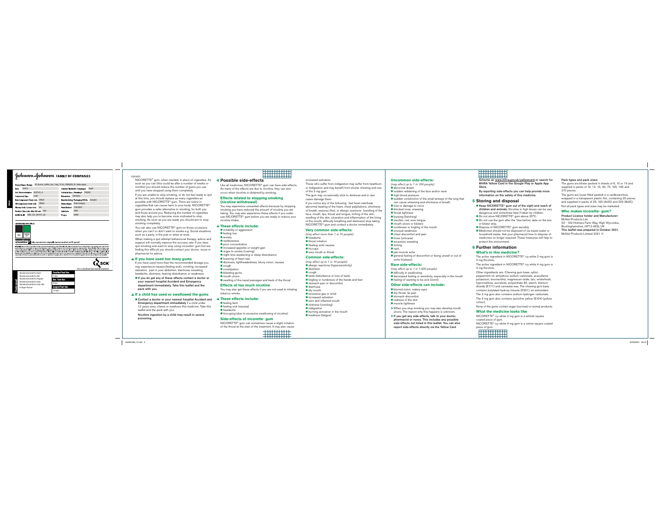#### SD FDDFF

NICORETTE® gum, when needed, in place of cigarettes. As soon as you can (this could be after a number of weeks or months) you should reduce the number of gums you use until you have stopped using them completely.

If you are unable to stop smoking, or do not feel ready to quit at this time, you should replace as many cigarettes as possible with NICORETTE® gum. There are toxins in cigarettes that can cause harm to your body. NICORETTE® gum provides a safer alternative to smoking, for both you and those around you. Reducing the number of cigarettes may also help you to become more motivated to stop smoking. As soon as you are ready you should aim to stop smoking completely.

You can also use NICORETTE® gum on those occasions when you can't or don't want to smoke e.g. Social situations such as a party, in the pub or when at work.

When making a quit attempt behavioural therapy, advice and support will normally improve the success rate. If you have quit smoking and want to stop using nicorette® gum but are finding this difficult you should contact your doctor, nurse or pharmacist for advice.

#### ! **If you have used too many gums**

If you have used more than the recommended dosage you may experience nausea (feeling sick), vomiting, increased salivation, pain in your abdomen, diarrhoea, sweating, headache, dizziness, hearing disturbance or weakness.

If you do get any of these effects contact a doctor or your nearest hospital Accident and Emergency department immediately. Take this leaflet and the pack with you.

#### ! **If a child has used or swallowed the gums**

Contact a doctor or your nearest hospital Accident and Emergency department immediately if a child under 12 years uses, chews or swallows this medicine. Take this leaflet and the pack with you. Nicotine ingestion by a child may result in severe

poisoning.

#### **4 Possible side-effects**

Like all medicines, NICORETTE<sup>®</sup> gum can have side-effects. As many of the effects are due to nicotine, they can also occur when nicotine is obtained by smoking.

. . . . . . . . . . . . . . <u> Elithetik</u>

#### **Effects related to stopping smoking (nicotine withdrawal)**

You may experience unwanted effects because by stopping smoking you have reduced the amount of nicotine you are taking. You may also experience these effects if you under use NICORETTE® gum before you are ready to reduce your nicotine intake.

#### ! **These effects include:**

■ irritability or aggression **f**feeling low anxiety **R** restlessness poor concentration **E** increased appetite or weight gain urges to smoke (craving) night time awakening or sleep disturbance **Delawaring of heart rate** dizziness, lightheadedness, blurry vision, nausea cough constipation bleeding gums mouth ulcers swelling of the nasal passages and back of the throat **Effects of too much nicotine**You may also get these effects if you are not used to inhaling

#### ! **These effects include:**

tobacco smoke.

■ feeling faint feeling sick (nausea) headachehiccuping (due to excessive swallowing of nicotine)

#### **Side-effects of nicorette**® **gum**

 NICORETTE® gum can sometimes cause a slight irritation of the throat at the start of the treatment. It may also cause *<u>ALCOHOL: 1999</u>* 

ENNING

#### increased salivation.

Those who suffer from indigestion may suffer from heartburn or indigestion and may benefit from slower chewing and use of the 2 mg gum.

The gum may occasionally stick to dentures and in rare cases damage them.

If you notice any of the following: fast heart rate/beat, abnormal beating of the heart, chest palpitations, shortness of breath, seizures (fits), or allergic reactions (swelling of the face, mouth, lips, throat and tongue, itching of the skin, swelling of the skin, ulceration and inflammation of the lining of the mouth, difficulty breathing and dizziness) stop taking NICORETTE® gum and contact a doctor immediately.

#### **Very common side-effects:**

(may affect more than 1 in 10 people): headachethroat irritation ■ (feeling sick) nausea **hiccups** sore mouth or throat

#### **Common side-effects:**

tiredness (fatigue)

(may affect up to 1 in 10 people): allergic reactions (hypersensitivity) dizziness cough taste disturbance or loss of taste tingling or numbness of the hands and feet stomach pain or discomfort diarrhoea dry mouth **E** excessive gas or wind **E** increased salivation sore and inflamed mouth sickness (vomiting) **indigestion** burning sensation in the mouth

#### **Uncommon side-effects:**

 (may affect up to 1 in 100 people): abnormal dream

- sudden reddening of the face and/or neck
- **H** high blood pressure sudden constriction of the small airways of the lung that
- can cause wheezing and shortness of breath
- loss or damage to voice
- blocked nose, sneezing throat tightness
- burping (belching)
- swollen, red, sore tongue
- mouth ulcers or blisters
- numbness or tingling of the mouth unusual weakness
	- chest discomfort and pain
	- hives (urticaria)
	- excessive sweating
- **u** itching
- rash
- iaw-muscle ache
	- general feeling of discomfort or being unwell or out of sorts (malaise)

#### **Rare side-effects:**

- (may affect up to 1 in 1,000 people).
- difficulty in swallowing
- decreased feeling or sensitivity, especially in the mouth **f**eeling of wanting to be sick (vomit)

#### **Other side-effects can include:**

blurred vision, watery eyes

- dry throat, lip pair stomach discomfort
- redness of the skin
- muscle tightness
- 
- ³ When you stop smoking you may also develop mouth ulcers. The reason why this happens is unknown.
- If you get any side-effects, talk to your doctor, pharmacist or nurse. This includes any possible side-effects not listed in this leaflet. You can also report side-effects directly via the Yellow Card

# **WEBSTERNER**

Scheme at: www.mhra.gov.uk/yellowcard or search for MHRA Yellow Card in the Google Play or Apple App Store.

 By reporting side-effects you can help provide more information on the safety of this medicine.

#### **5 Storing and disposal**

- Keep NICORETTE<sup>®</sup> gum out of the sight and reach of children and animals. Nicotine in high doses can be very dangerous and sometimes fatal if taken by children.
- Do not store NICORETTE<sup>®</sup> gum above 25°C.
- Do not use the gum after the 'Use before' date on the box or blister strip.
- Dispose of NICORETTE® gum sensibly.
- Medicines should not be disposed of via waste water or household waste. Ask your pharmacist how to dispose of medicines no longer required. These measures will help to protect the environment.

#### **6 Further information**

#### **What's in this medicine?**

The active ingredient in NICORETTE<sup>®</sup> icy white 2 mg gum is 2 mg Nicotine.

The active ingredient in NICORETTE® icy white 4 mg gum is 4 mg Nicotine.

- Other ingredients are: Chewing gum base, xylitol, peppermint oil, anhydrous sodium carbonate, acesulfame potassium, levomenthol, magnesium oxide, talc, winterfresh, hypromellose, sucralose, polysorbate 80, starch, titanium
- dioxide (E171) and carnauba wax. The chewing gum base contains butylated hydroxy toluene (E321), an antioxidant.
- The 2 mg gum also contains sodium hydrogen carbonate.
- The 4 mg gum also contains quinoline yellow (E104) (yellow colour).
- None of the gums contain sugar (sucrose) or animal products.

#### **What the medicine looks like**

NICORETTE® icy white 2 mg gum is a whitish square coated piece of gum. NICORETTE® icy white 4 mg gum is a crème square coated

# piece of gum.<br>Alternatives

Pack types and pack sizes:

The gums are blister packed in sheets of 6, 10 or 15 and supplied in packs of 10, 12, 15, 30, 75, 105, 165 and 210 pieces.

The gums are loose-filled packed in a cardboard box, wrapped in a transparent plastic film, containing 25 pieces and supplied in packs of 25, 100 (4x25) and 200 (8x25).

Not all pack types and sizes may be marketed.

#### **Who makes nicorette**® **gum?**

Product Licence holder and Manufacturer:McNeil Products Ltd, 50 - 100 Holmers Farm Way, High Wycombe, Buckinghamshire, HP12 4EG, UK This leaflet was prepared in October 2021. McNeil Products Limited 2021 ©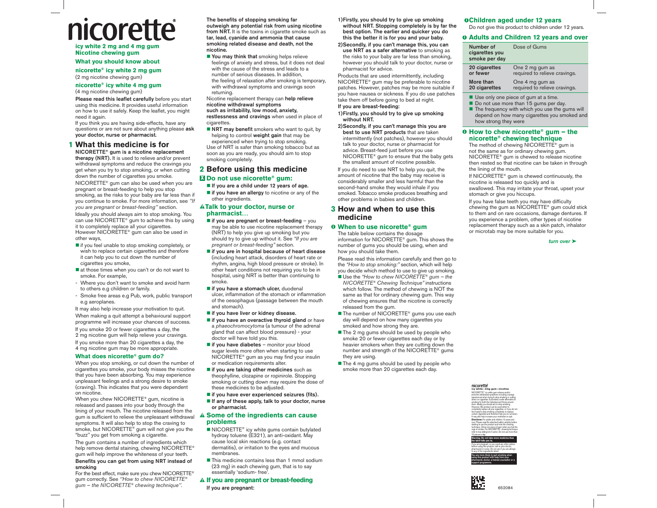# nicorette **icy white 2 mg and 4 mg gum**

# **Nicotine chewing gum**

# **What you should know about**

**nicorette® icy white 2 mg gum** (2 mg nicotine chewing gum)

### **nicorette® icy white 4 mg gum** (4 mg nicotine chewing gum)

Please read this leaflet carefully before you start using this medicine. It provides useful information on how to use it safely. Keep the leaflet, you might need it again.

If you think you are having side-effects, have any questions or are not sure about anything please ask your doctor, nurse or pharmacist.

# **1 What this medicine is for**

NICORETTE® gum is a nicotine replacement therapy (NRT). It is used to relieve and/or prevent withdrawal symptoms and reduce the cravings you get when you try to stop smoking, or when cutting down the number of cigarettes you smoke. NICORETTE® gum can also be used when you are pregnant or breast-feeding to help you stop smoking, as the risks to your baby are far less than if you continue to smoke. For more information, see ''If you are pregnant or breast-feeding'' section. Ideally you should always aim to stop smoking. You can use NICORETTE® gum to achieve this by using it to completely replace all your cigarettes. However NICORETTE® gum can also be used in other ways,

- $\blacksquare$  if you feel unable to stop smoking completely, or wish to replace certain cigarettes and therefore it can help you to cut down the number of cigarettes you smoke,
- at those times when you can't or do not want to smoke. For example,
- Where you don't want to smoke and avoid harm to others e.g children or family.
- Smoke free areas e.g Pub, work, public transport e.g aeroplanes.

It may also help increase your motivation to quit. When making a quit attempt a behavioural support programme will increase your chances of success.

If you smoke 20 or fewer cigarettes a day, the 2 mg nicotine gum will help relieve your cravings. If you smoke more than 20 cigarettes a day, the 4 mg nicotine gum may be more appropriate.

# **What does nicorette® gum do?**

When you stop smoking, or cut down the number of cigarettes you smoke, your body misses the nicotine that you have been absorbing. You may experience unpleasant feelings and a strong desire to smoke (craving). This indicates that you were dependent on nicotine.

When you chew NICORETTE® gum, nicotine is released and passes into your body through the lining of your mouth. The nicotine released from the gum is sufficient to relieve the unpleasant withdrawal **A Some of the ingredients can cause** symptoms. It will also help to stop the craving to smoke, but NICORETTE® gum will not give you the "buzz'' you get from smoking a cigarette.

The gum contains a number of ingredients which help remove dental staining, chewing NICORETTE® gum will help improve the whiteness of your teeth.

# Benefits you can get from using NRT instead of smoking

For the best effect, make sure you chew NICORETTE® gum correctly. See "How to chew NICORETTE® gum – the NICORETTE® chewing technique''.

The benefits of stopping smoking far outweigh any potential risk from using nicotine from NRT. It is the toxins in cigarette smoke such as tar, lead, cyanide and ammonia that cause smoking related disease and death, not the nicotine.

■ You may think that smoking helps relieve feelings of anxiety and stress, but it does not deal with the cause of the stress and leads to a number of serious diseases. In addition, the feeling of relaxation after smoking is temporary, with withdrawal symptoms and cravings soon returning.

Nicotine replacement therapy can help relieve nicotine withdrawal symptoms

# such as irritability, low mood, anxiety,

restlessness and cravings when used in place of cigarettes.

 $\blacksquare$  NRT may benefit smokers who want to quit, by helping to control weight gain that may be experienced when trying to stop smoking. Use of NRT is safer than smoking tobacco but as soon as you are ready, you should aim to stop smoking completely.

# **2 Before using this medicine** <sup>X</sup> **Do not use nicorette® gum:**

# If you are a child under 12 years of age.

 $\blacksquare$  if you have an allergy to nicotine or any of the other ingredients.

# ! **Talk to your doctor, nurse or pharmacist…**

- $\blacksquare$  if you are pregnant or breast-feeding  $-$  you may be able to use nicotine replacement therapy (NRT) to help you give up smoking but you should try to give up without it. See "If you are pregnant or breast-feeding" section.
- if you are in hospital because of heart disease (including heart attack, disorders of heart rate or rhythm, angina, high blood pressure or stroke). In other heart conditions not requiring you to be in hospital, using NRT is better than continuing to smoke.
- if you have a stomach ulcer, duodenal ulcer, inflammation of the stomach or inflammation of the oesophagus (passage between the mouth and stomach).
- if you have liver or kidney disease.
- $\blacksquare$  if you have an overactive thyroid gland or have a phaeochromocytoma (a tumour of the adrenal <sup>g</sup>land that can affect blood pressure) - your doctor will have told you this.
- $\blacksquare$  if you have diabetes monitor your blood sugar levels more often when starting to use NICORETTE® gum as you may find your insulin or medication requirements alter.
- $\blacksquare$  if you are taking other medicines such as theophylline, clozapine or ropinirole. Stopping smoking or cutting down may require the dose of these medicines to be adjusted.
- if you have ever experienced seizures (fits).
- $\blacksquare$  If any of these apply, talk to your doctor, nurse or pharmacist.

# **problems**

- NICORETTE® icy white gums contain butylated hydroxy toluene (E321), an anti-oxidant. May cause local skin reactions (e.g. contact dermatitis), or irritation to the eyes and mucous membranes.
- This medicine contains less than 1 mmol sodium (23 mg) in each chewing gum, that is to say essentially 'sodium- free'.

# ! **If you are pregnant or breast-feeding** If you are pregnant:

- 1) Firstly, you should try to give up smoking without NRT. Stopping completely is by far the best option. The earlier and quicker you do this the better it is for you and your baby.
- 2) Secondly, if you can't manage this, you can use NRT as a safer alternative to smoking as the risks to your baby are far less than smoking, however you should talk to your doctor, nurse or pharmacist for advice.

Products that are used intermittently, including NICORETTE® gum may be preferable to nicotine patches. However, patches may be more suitable if you have nausea or sickness. If you do use patches take them off before going to bed at night.

# If you are breast-feeding:

- 1) Firstly, you should try to give up smoking without NRT.
- 2) Secondly, if you can't manage this you are best to use NRT products that are taken intermittently (not patches), however you should talk to your doctor, nurse or pharmacist for advice. Breast-feed just before you use NICORETTE® gum to ensure that the baby gets the smallest amount of nicotine possible.

If you do need to use NRT to help you quit, the amount of nicotine that the baby may receive is considerably smaller and less harmful than the second-hand smoke they would inhale if you smoked. Tobacco smoke produces breathing and other problems in babies and children.

# **3 How and when to use this medicine**

# $\theta$  When to use nicorette® gum

The table below contains the dosage information for NICORETTE® gum. This shows the number of gums you should be using, when and how you should take them.

Please read this information carefully and then go to the "How to stop smoking:" section, which will help you decide which method to use to give up smoking.

- Use the "How to chew NICORETTE® gum the NICORETTE® Chewing Technique" instructions which follow. The method of chewing is NOT the same as that for ordinary chewing gum. This way of chewing ensures that the nicotine is correctly released from the gum.
- The number of NICORETTE<sup>®</sup> gums you use each day will depend on how many cigarettes you smoked and how strong they are.
- The 2 mg gums should be used by people who smoke 20 or fewer cigarettes each day or by heavier smokers when they are cutting down the number and strength of the NICORETTE® gums they are using.
- $\blacksquare$  The 4 mg gums should be used by people who smoke more than 20 cigarettes each day.

# i **Children aged under 12 years**

Do not give this product to children under 12 years.

# $0$  **Adults and Children 12 years and over**

| Number of<br>cigarettes you<br>smoke per day | Dose of Gums                  |
|----------------------------------------------|-------------------------------|
| 20 cigarettes                                | One 2 mg gum as               |
| or fewer                                     | required to relieve cravings. |
| More than                                    | One 4 mg gum as               |
| 20 cigarettes                                | required to relieve cravings. |

- Use only one piece of gum at a time.
- Do not use more than 15 gums per day. ■ The frequency with which you use the gums will
- depend on how many cigarettes you smoked and how strong they were

# **O** How to chew nicorette® gum – the **nicorette® chewing technique**

The method of chewing NICORETTE® gum is not the same as for ordinary chewing gum. NICORETTE® gum is chewed to release nicotine then rested so that nicotine can be taken in through the lining of the mouth.

If NICORETTE® gum is chewed continuously, the nicotine is released too quickly and is swallowed. This may irritate your throat, upset your stomach or give you hiccups.

If you have false teeth you may have difficulty chewing the gum as NICORETTE® gum could stick to them and on rare occasions, damage dentures. If you experience a problem, other types of nicotine replacement therapy such as a skin patch, inhalator or microtab may be more suitable for you.

turn over  $\blacktriangleright$ 

NICORETTE® icy white gum relieves and/or<br>prevents withdrawal symptoms including cravings<br>experienced when trying to stop smoking or cutting<br>down on cigarettes. It provides a safer alternative to smoking for both the individual and those around them. Ideally you should aim to stop smoking. However, this product can be used either to completely replace all your cigarettes, or if you do not<br>feel ready to stop smoking completely, to replace<br>certain cigarettes and therefore help you to cut down.<br>It may also help increase your motivation to quit. **icy white** • **2mg gum**• **nicotine**

nicorette





support programme.